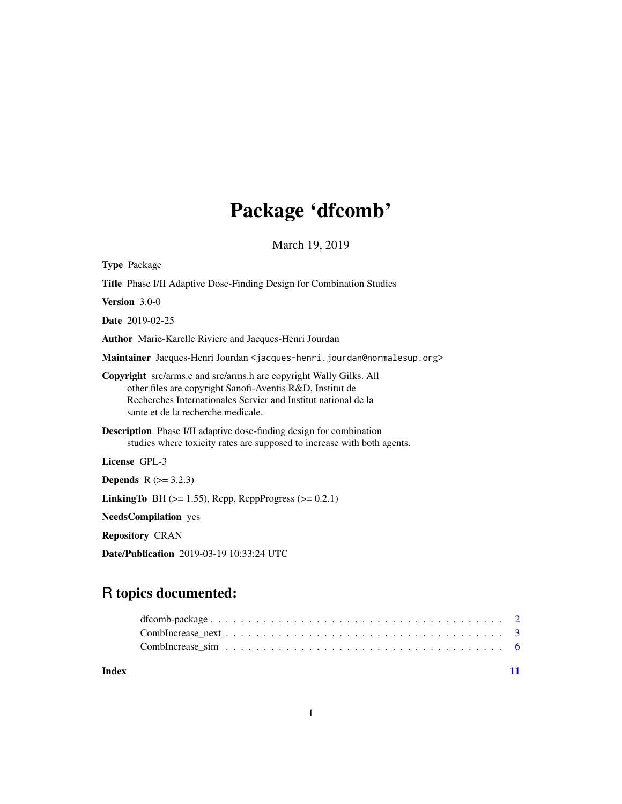## Package 'dfcomb'

March 19, 2019

| <b>Type Package</b>                                                                                                                                                                                                                            |
|------------------------------------------------------------------------------------------------------------------------------------------------------------------------------------------------------------------------------------------------|
| <b>Title</b> Phase I/II Adaptive Dose-Finding Design for Combination Studies                                                                                                                                                                   |
| Version $3.0-0$                                                                                                                                                                                                                                |
| <b>Date</b> 2019-02-25                                                                                                                                                                                                                         |
| Author Marie-Karelle Riviere and Jacques-Henri Jourdan                                                                                                                                                                                         |
| Maintainer Jacques-Henri Jourdan <jacques-henri.jourdan@normalesup.org></jacques-henri.jourdan@normalesup.org>                                                                                                                                 |
| <b>Copyright</b> src/arms.c and src/arms.h are copyright Wally Gilks. All<br>other files are copyright Sanofi-Aventis R&D, Institut de<br>Recherches Internationales Servier and Institut national de la<br>sante et de la recherche medicale. |
| <b>Description</b> Phase I/II adaptive dose-finding design for combination<br>studies where toxicity rates are supposed to increase with both agents.                                                                                          |
| License GPL-3                                                                                                                                                                                                                                  |
| <b>Depends</b> $R (= 3.2.3)$                                                                                                                                                                                                                   |
| <b>LinkingTo</b> BH $(>= 1.55)$ , Rcpp, RcppProgress $(>= 0.2.1)$                                                                                                                                                                              |
| <b>NeedsCompilation</b> yes                                                                                                                                                                                                                    |
| <b>Repository CRAN</b>                                                                                                                                                                                                                         |
| Date/Publication 2019-03-19 10:33:24 UTC                                                                                                                                                                                                       |

### R topics documented:

| Index |  |  |  |  |  |  |  |  |  |  |  |  |  |  |  |  |  |
|-------|--|--|--|--|--|--|--|--|--|--|--|--|--|--|--|--|--|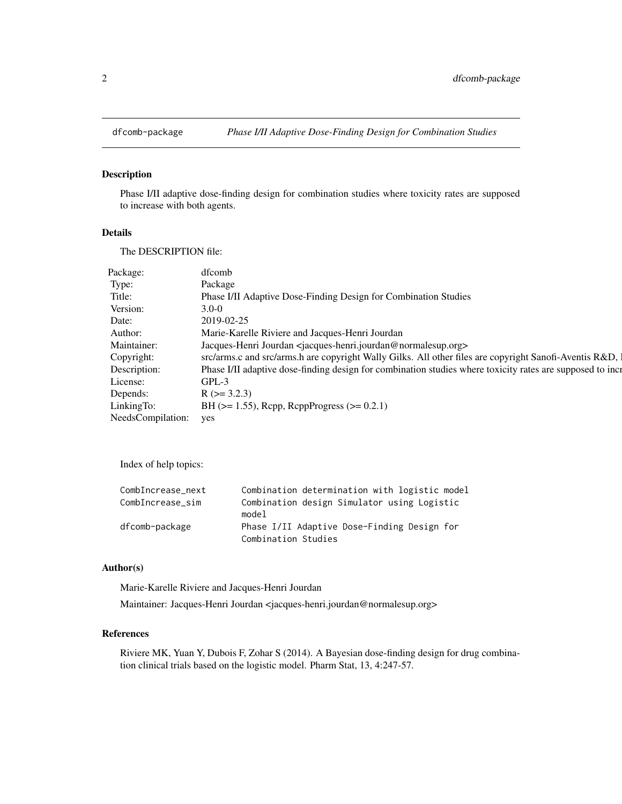<span id="page-1-0"></span>

#### Description

Phase I/II adaptive dose-finding design for combination studies where toxicity rates are supposed to increase with both agents.

#### Details

The DESCRIPTION file:

| Package:          | dfcomb                                                                                                    |
|-------------------|-----------------------------------------------------------------------------------------------------------|
| Type:             | Package                                                                                                   |
| Title:            | Phase I/II Adaptive Dose-Finding Design for Combination Studies                                           |
| Version:          | $3.0 - 0$                                                                                                 |
| Date:             | 2019-02-25                                                                                                |
| Author:           | Marie-Karelle Riviere and Jacques-Henri Jourdan                                                           |
| Maintainer:       | Jacques-Henri Jourdan <iacques-henri.jourdan@normalesup.org></iacques-henri.jourdan@normalesup.org>       |
| Copyright:        | src/arms.c and src/arms.h are copyright Wally Gilks. All other files are copyright Sanofi-Aventis R&D, 1  |
| Description:      | Phase I/II adaptive dose-finding design for combination studies where toxicity rates are supposed to incr |
| License:          | $GPL-3$                                                                                                   |
| Depends:          | $R$ ( $>=$ 3.2.3)                                                                                         |
| LinkingTo:        | BH $(>= 1.55)$ , Rcpp, RcppProgress $(>= 0.2.1)$                                                          |
| NeedsCompilation: | yes                                                                                                       |

Index of help topics:

| CombIncrease_next | Combination determination with logistic model |
|-------------------|-----------------------------------------------|
| CombIncrease sim  | Combination design Simulator using Logistic   |
|                   | model                                         |
| dfcomb-package    | Phase I/II Adaptive Dose-Finding Design for   |
|                   | Combination Studies                           |

#### Author(s)

Marie-Karelle Riviere and Jacques-Henri Jourdan

Maintainer: Jacques-Henri Jourdan <jacques-henri.jourdan@normalesup.org>

#### References

Riviere MK, Yuan Y, Dubois F, Zohar S (2014). A Bayesian dose-finding design for drug combination clinical trials based on the logistic model. Pharm Stat, 13, 4:247-57.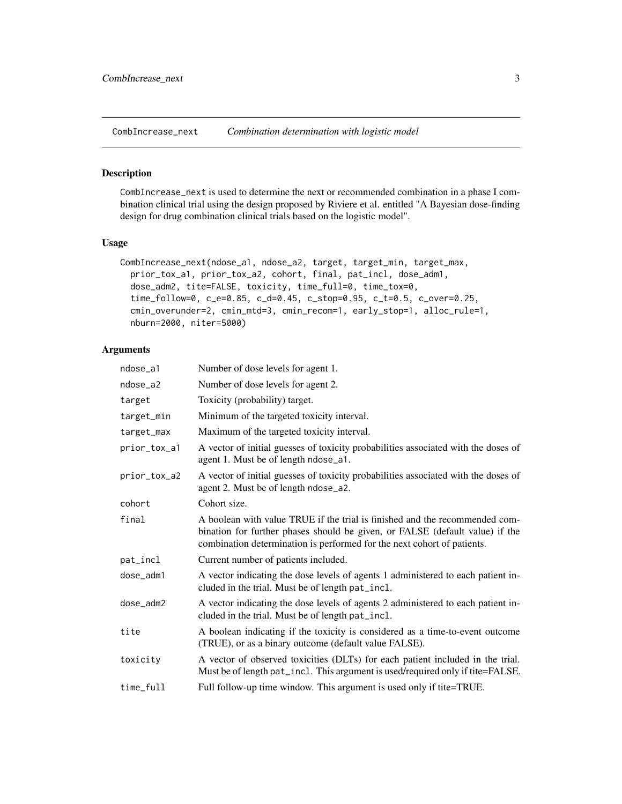<span id="page-2-1"></span><span id="page-2-0"></span>CombIncrease\_next *Combination determination with logistic model*

#### Description

CombIncrease\_next is used to determine the next or recommended combination in a phase I combination clinical trial using the design proposed by Riviere et al. entitled "A Bayesian dose-finding design for drug combination clinical trials based on the logistic model".

#### Usage

```
CombIncrease_next(ndose_a1, ndose_a2, target, target_min, target_max,
 prior_tox_a1, prior_tox_a2, cohort, final, pat_incl, dose_adm1,
 dose_adm2, tite=FALSE, toxicity, time_full=0, time_tox=0,
  time_follow=0, c_e=0.85, c_d=0.45, c_stop=0.95, c_t=0.5, c_over=0.25,
  cmin_overunder=2, cmin_mtd=3, cmin_recom=1, early_stop=1, alloc_rule=1,
 nburn=2000, niter=5000)
```
#### Arguments

| ndose_a1     | Number of dose levels for agent 1.                                                                                                                                                                                                     |
|--------------|----------------------------------------------------------------------------------------------------------------------------------------------------------------------------------------------------------------------------------------|
| ndose_a2     | Number of dose levels for agent 2.                                                                                                                                                                                                     |
| target       | Toxicity (probability) target.                                                                                                                                                                                                         |
| target_min   | Minimum of the targeted toxicity interval.                                                                                                                                                                                             |
| target_max   | Maximum of the targeted toxicity interval.                                                                                                                                                                                             |
| prior_tox_a1 | A vector of initial guesses of toxicity probabilities associated with the doses of<br>agent 1. Must be of length ndose_a1.                                                                                                             |
| prior_tox_a2 | A vector of initial guesses of toxicity probabilities associated with the doses of<br>agent 2. Must be of length ndose_a2.                                                                                                             |
| cohort       | Cohort size.                                                                                                                                                                                                                           |
| final        | A boolean with value TRUE if the trial is finished and the recommended com-<br>bination for further phases should be given, or FALSE (default value) if the<br>combination determination is performed for the next cohort of patients. |
| pat_incl     | Current number of patients included.                                                                                                                                                                                                   |
| dose_adm1    | A vector indicating the dose levels of agents 1 administered to each patient in-<br>cluded in the trial. Must be of length pat_incl.                                                                                                   |
| dose_adm2    | A vector indicating the dose levels of agents 2 administered to each patient in-<br>cluded in the trial. Must be of length pat_incl.                                                                                                   |
| tite         | A boolean indicating if the toxicity is considered as a time-to-event outcome<br>(TRUE), or as a binary outcome (default value FALSE).                                                                                                 |
| toxicity     | A vector of observed toxicities (DLTs) for each patient included in the trial.<br>Must be of length pat_incl. This argument is used/required only if tite=FALSE.                                                                       |
| time_full    | Full follow-up time window. This argument is used only if tite=TRUE.                                                                                                                                                                   |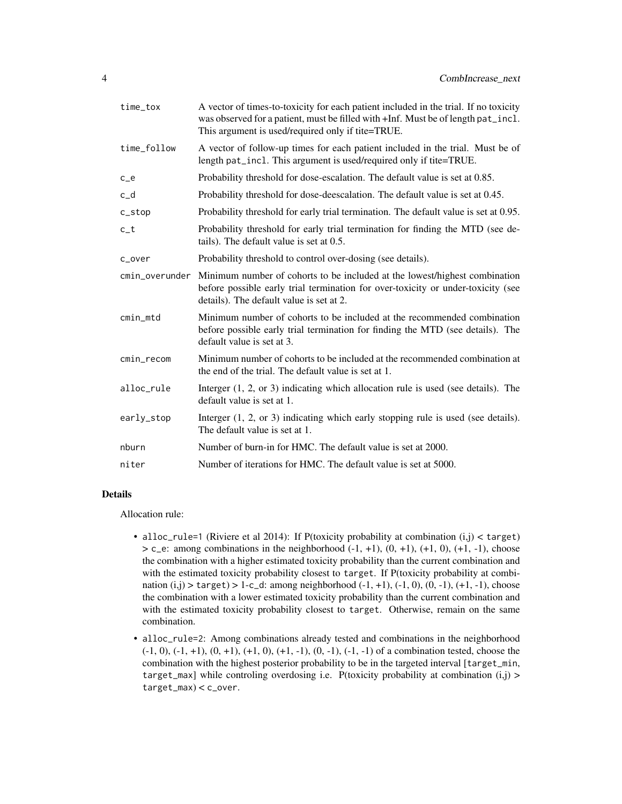| time_tox          | A vector of times-to-toxicity for each patient included in the trial. If no toxicity<br>was observed for a patient, must be filled with +Inf. Must be of length pat_incl.<br>This argument is used/required only if tite=TRUE. |
|-------------------|--------------------------------------------------------------------------------------------------------------------------------------------------------------------------------------------------------------------------------|
| time_follow       | A vector of follow-up times for each patient included in the trial. Must be of<br>length pat_incl. This argument is used/required only if tite=TRUE.                                                                           |
| $c$ <sub>-e</sub> | Probability threshold for dose-escalation. The default value is set at 0.85.                                                                                                                                                   |
| $c_d$             | Probability threshold for dose-deescalation. The default value is set at 0.45.                                                                                                                                                 |
| c_stop            | Probability threshold for early trial termination. The default value is set at 0.95.                                                                                                                                           |
| $c_t$             | Probability threshold for early trial termination for finding the MTD (see de-<br>tails). The default value is set at 0.5.                                                                                                     |
| c_over            | Probability threshold to control over-dosing (see details).                                                                                                                                                                    |
| cmin_overunder    | Minimum number of cohorts to be included at the lowest/highest combination<br>before possible early trial termination for over-toxicity or under-toxicity (see<br>details). The default value is set at 2.                     |
| cmin_mtd          | Minimum number of cohorts to be included at the recommended combination<br>before possible early trial termination for finding the MTD (see details). The<br>default value is set at 3.                                        |
| cmin_recom        | Minimum number of cohorts to be included at the recommended combination at<br>the end of the trial. The default value is set at 1.                                                                                             |
| alloc_rule        | Interger $(1, 2, or 3)$ indicating which allocation rule is used (see details). The<br>default value is set at 1.                                                                                                              |
| early_stop        | Interger $(1, 2, or 3)$ indicating which early stopping rule is used (see details).<br>The default value is set at 1.                                                                                                          |
| nburn             | Number of burn-in for HMC. The default value is set at 2000.                                                                                                                                                                   |
| niter             | Number of iterations for HMC. The default value is set at 5000.                                                                                                                                                                |

#### Details

Allocation rule:

- alloc\_rule=1 (Riviere et al 2014): If P(toxicity probability at combination  $(i,j)$  < target)  $> c_e$ : among combinations in the neighborhood  $(-1, +1)$ ,  $(0, +1)$ ,  $(+1, 0)$ ,  $(+1, -1)$ , choose the combination with a higher estimated toxicity probability than the current combination and with the estimated toxicity probability closest to target. If P(toxicity probability at combination  $(i,j)$  > target) > 1-c\_d: among neighborhood  $(-1, +1)$ ,  $(-1, 0)$ ,  $(0, -1)$ ,  $(+1, -1)$ , choose the combination with a lower estimated toxicity probability than the current combination and with the estimated toxicity probability closest to target. Otherwise, remain on the same combination.
- alloc\_rule=2: Among combinations already tested and combinations in the neighborhood  $(-1, 0)$ ,  $(-1, +1)$ ,  $(0, +1)$ ,  $(+1, 0)$ ,  $(+1, -1)$ ,  $(0, -1)$ ,  $(-1, -1)$  of a combination tested, choose the combination with the highest posterior probability to be in the targeted interval [target\_min, target\_max] while controling overdosing i.e. P(toxicity probability at combination  $(i,j)$  > target\_max) < c\_over.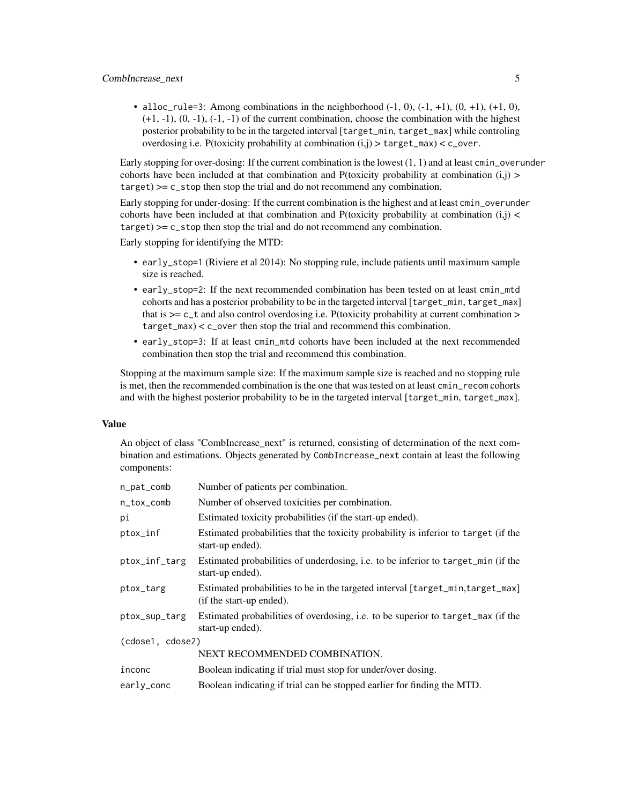• alloc\_rule=3: Among combinations in the neighborhood  $(-1, 0)$ ,  $(-1, +1)$ ,  $(0, +1)$ ,  $(+1, 0)$ ,  $(+1, -1)$ ,  $(0, -1)$ ,  $(-1, -1)$  of the current combination, choose the combination with the highest posterior probability to be in the targeted interval [target\_min, target\_max] while controling overdosing i.e. P(toxicity probability at combination  $(i,j)$  > target\_max) < c\_over.

Early stopping for over-dosing: If the current combination is the lowest (1, 1) and at least cmin\_overunder cohorts have been included at that combination and P(toxicity probability at combination  $(i,j)$ ) target) >= c\_stop then stop the trial and do not recommend any combination.

Early stopping for under-dosing: If the current combination is the highest and at least cmin\_overunder cohorts have been included at that combination and P(toxicity probability at combination  $(i,j)$ target) >= c\_stop then stop the trial and do not recommend any combination.

Early stopping for identifying the MTD:

- early\_stop=1 (Riviere et al 2014): No stopping rule, include patients until maximum sample size is reached.
- early\_stop=2: If the next recommended combination has been tested on at least cmin\_mtd cohorts and has a posterior probability to be in the targeted interval [target\_min, target\_max] that is  $>= c_t$  and also control overdosing i.e. P(toxicity probability at current combination  $>$ target\_max) < c\_over then stop the trial and recommend this combination.
- early\_stop=3: If at least cmin\_mtd cohorts have been included at the next recommended combination then stop the trial and recommend this combination.

Stopping at the maximum sample size: If the maximum sample size is reached and no stopping rule is met, then the recommended combination is the one that was tested on at least cmin\_recom cohorts and with the highest posterior probability to be in the targeted interval [target\_min, target\_max].

#### Value

An object of class "CombIncrease next" is returned, consisting of determination of the next combination and estimations. Objects generated by CombIncrease\_next contain at least the following components:

| n_pat_comb       | Number of patients per combination.                                                                        |
|------------------|------------------------------------------------------------------------------------------------------------|
| n_tox_comb       | Number of observed toxicities per combination.                                                             |
| рi               | Estimated toxicity probabilities (if the start-up ended).                                                  |
| ptox_inf         | Estimated probabilities that the toxicity probability is inferior to target (if the<br>start-up ended).    |
| ptox_inf_targ    | Estimated probabilities of underdosing, i.e. to be inferior to target_min (if the<br>start-up ended).      |
| ptox_targ        | Estimated probabilities to be in the targeted interval [target_min,target_max]<br>(if the start-up ended). |
| ptox_sup_targ    | Estimated probabilities of overdosing, i.e. to be superior to target_max (if the<br>start-up ended).       |
| (cdose1, cdose2) |                                                                                                            |
|                  | NEXT RECOMMENDED COMBINATION.                                                                              |
| inconc           | Boolean indicating if trial must stop for under/over dosing.                                               |
| early_conc       | Boolean indicating if trial can be stopped earlier for finding the MTD.                                    |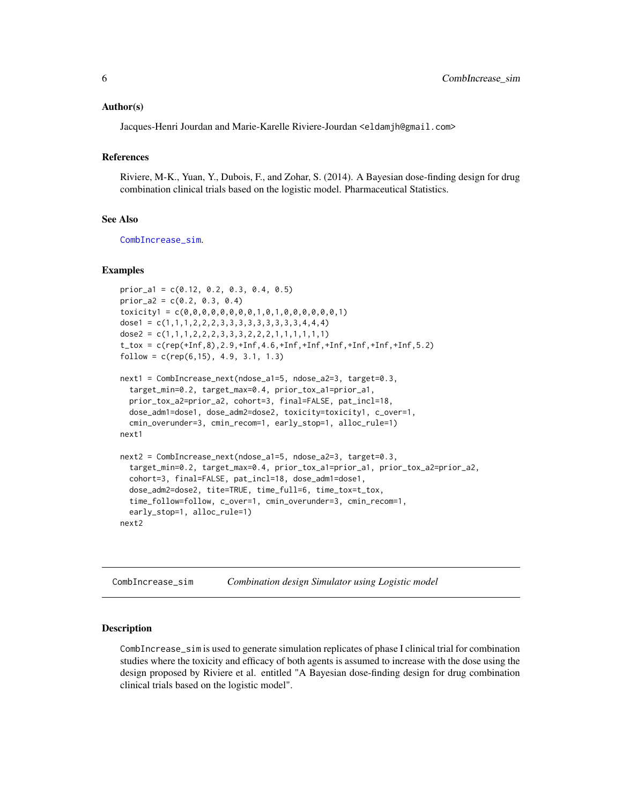#### <span id="page-5-0"></span>Author(s)

Jacques-Henri Jourdan and Marie-Karelle Riviere-Jourdan <eldamjh@gmail.com>

#### References

Riviere, M-K., Yuan, Y., Dubois, F., and Zohar, S. (2014). A Bayesian dose-finding design for drug combination clinical trials based on the logistic model. Pharmaceutical Statistics.

#### See Also

[CombIncrease\\_sim](#page-5-1).

#### Examples

```
prior_a1 = c(0.12, 0.2, 0.3, 0.4, 0.5)
prior_a2 = c(0.2, 0.3, 0.4)toxicity1 = c(0,0,0,0,0,0,0,0,1,0,1,0,0,0,0,0,0,1)
dose1 = c(1,1,1,2,2,2,3,3,3,3,3,3,3,3,4,4,4)dose2 = c(1,1,1,2,2,2,3,3,3,2,2,2,1,1,1,1,1,1)t_ttox = c(rep(+Inf,8),2.9,+Inf,4.6,+Inf,+Inf,+Inf,+Inf,+Inf,+Inf,5.2)
follow = c(rep(6,15), 4.9, 3.1, 1.3)next1 = CombIncrease_next(ndose_a1=5, ndose_a2=3, target=0.3,
 target_min=0.2, target_max=0.4, prior_tox_a1=prior_a1,
 prior_tox_a2=prior_a2, cohort=3, final=FALSE, pat_incl=18,
 dose_adm1=dose1, dose_adm2=dose2, toxicity=toxicity1, c_over=1,
 cmin_overunder=3, cmin_recom=1, early_stop=1, alloc_rule=1)
next1
next2 = CombIncrease_next(ndose_a1=5, ndose_a2=3, target=0.3,
 target_min=0.2, target_max=0.4, prior_tox_a1=prior_a1, prior_tox_a2=prior_a2,
 cohort=3, final=FALSE, pat_incl=18, dose_adm1=dose1,
 dose_adm2=dose2, tite=TRUE, time_full=6, time_tox=t_tox,
 time_follow=follow, c_over=1, cmin_overunder=3, cmin_recom=1,
 early_stop=1, alloc_rule=1)
next2
```
<span id="page-5-1"></span>CombIncrease\_sim *Combination design Simulator using Logistic model*

#### **Description**

CombIncrease\_sim is used to generate simulation replicates of phase I clinical trial for combination studies where the toxicity and efficacy of both agents is assumed to increase with the dose using the design proposed by Riviere et al. entitled "A Bayesian dose-finding design for drug combination clinical trials based on the logistic model".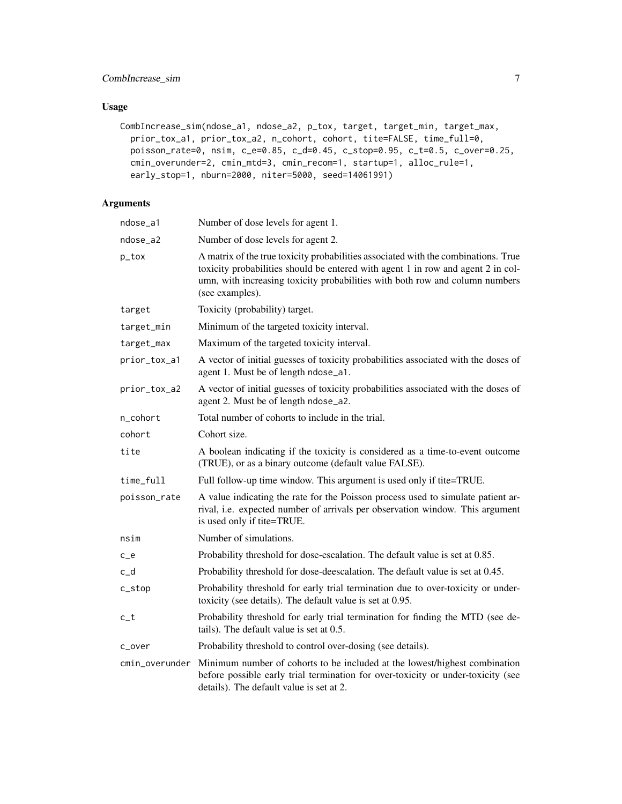### CombIncrease\_sim 7

#### Usage

```
CombIncrease_sim(ndose_a1, ndose_a2, p_tox, target, target_min, target_max,
 prior_tox_a1, prior_tox_a2, n_cohort, cohort, tite=FALSE, time_full=0,
 poisson_rate=0, nsim, c_e=0.85, c_d=0.45, c_stop=0.95, c_t=0.5, c_over=0.25,
 cmin_overunder=2, cmin_mtd=3, cmin_recom=1, startup=1, alloc_rule=1,
 early_stop=1, nburn=2000, niter=5000, seed=14061991)
```
### Arguments

| ndose_a1       | Number of dose levels for agent 1.                                                                                                                                                                                                                                        |
|----------------|---------------------------------------------------------------------------------------------------------------------------------------------------------------------------------------------------------------------------------------------------------------------------|
| ndose_a2       | Number of dose levels for agent 2.                                                                                                                                                                                                                                        |
| p_tox          | A matrix of the true toxicity probabilities associated with the combinations. True<br>toxicity probabilities should be entered with agent 1 in row and agent 2 in col-<br>umn, with increasing toxicity probabilities with both row and column numbers<br>(see examples). |
| target         | Toxicity (probability) target.                                                                                                                                                                                                                                            |
| target_min     | Minimum of the targeted toxicity interval.                                                                                                                                                                                                                                |
| target_max     | Maximum of the targeted toxicity interval.                                                                                                                                                                                                                                |
| prior_tox_a1   | A vector of initial guesses of toxicity probabilities associated with the doses of<br>agent 1. Must be of length ndose_a1.                                                                                                                                                |
| prior_tox_a2   | A vector of initial guesses of toxicity probabilities associated with the doses of<br>agent 2. Must be of length ndose_a2.                                                                                                                                                |
| n_cohort       | Total number of cohorts to include in the trial.                                                                                                                                                                                                                          |
| cohort         | Cohort size.                                                                                                                                                                                                                                                              |
| tite           | A boolean indicating if the toxicity is considered as a time-to-event outcome<br>(TRUE), or as a binary outcome (default value FALSE).                                                                                                                                    |
| time_full      | Full follow-up time window. This argument is used only if tite=TRUE.                                                                                                                                                                                                      |
| poisson_rate   | A value indicating the rate for the Poisson process used to simulate patient ar-<br>rival, i.e. expected number of arrivals per observation window. This argument<br>is used only if tite=TRUE.                                                                           |
| nsim           | Number of simulations.                                                                                                                                                                                                                                                    |
| $c_{e}$        | Probability threshold for dose-escalation. The default value is set at 0.85.                                                                                                                                                                                              |
| c_d            | Probability threshold for dose-deescalation. The default value is set at 0.45.                                                                                                                                                                                            |
| c_stop         | Probability threshold for early trial termination due to over-toxicity or under-<br>toxicity (see details). The default value is set at 0.95.                                                                                                                             |
| c_t            | Probability threshold for early trial termination for finding the MTD (see de-<br>tails). The default value is set at 0.5.                                                                                                                                                |
| c_over         | Probability threshold to control over-dosing (see details).                                                                                                                                                                                                               |
| cmin_overunder | Minimum number of cohorts to be included at the lowest/highest combination<br>before possible early trial termination for over-toxicity or under-toxicity (see<br>details). The default value is set at 2.                                                                |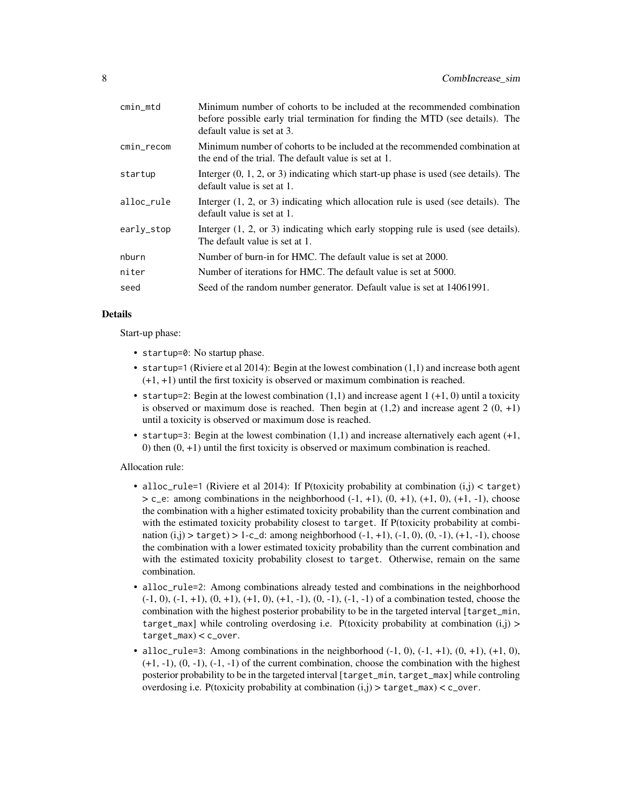| cmin_mtd   | Minimum number of cohorts to be included at the recommended combination<br>before possible early trial termination for finding the MTD (see details). The<br>default value is set at 3. |
|------------|-----------------------------------------------------------------------------------------------------------------------------------------------------------------------------------------|
| cmin_recom | Minimum number of cohorts to be included at the recommended combination at<br>the end of the trial. The default value is set at 1.                                                      |
| startup    | Interger $(0, 1, 2, \text{or } 3)$ indicating which start-up phase is used (see details). The<br>default value is set at 1.                                                             |
| alloc_rule | Interger $(1, 2, or 3)$ indicating which allocation rule is used (see details). The<br>default value is set at 1.                                                                       |
| early_stop | Interger $(1, 2, \text{or } 3)$ indicating which early stopping rule is used (see details).<br>The default value is set at 1.                                                           |
| nburn      | Number of burn-in for HMC. The default value is set at 2000.                                                                                                                            |
| niter      | Number of iterations for HMC. The default value is set at 5000.                                                                                                                         |
| seed       | Seed of the random number generator. Default value is set at 14061991.                                                                                                                  |

#### Details

Start-up phase:

- startup=0: No startup phase.
- startup=1 (Riviere et al 2014): Begin at the lowest combination (1,1) and increase both agent (+1, +1) until the first toxicity is observed or maximum combination is reached.
- startup=2: Begin at the lowest combination  $(1,1)$  and increase agent 1  $(+1, 0)$  until a toxicity is observed or maximum dose is reached. Then begin at  $(1,2)$  and increase agent  $2(0, +1)$ until a toxicity is observed or maximum dose is reached.
- startup=3: Begin at the lowest combination (1,1) and increase alternatively each agent (+1, 0) then  $(0, +1)$  until the first toxicity is observed or maximum combination is reached.

Allocation rule:

- alloc\_rule=1 (Riviere et al 2014): If P(toxicity probability at combination  $(i,j)$  < target)  $> c_e$ : among combinations in the neighborhood  $(-1, +1)$ ,  $(0, +1)$ ,  $(+1, 0)$ ,  $(+1, -1)$ , choose the combination with a higher estimated toxicity probability than the current combination and with the estimated toxicity probability closest to target. If P(toxicity probability at combination  $(i,j)$  > target) > 1-c\_d: among neighborhood  $(-1, +1)$ ,  $(-1, 0)$ ,  $(0, -1)$ ,  $(+1, -1)$ , choose the combination with a lower estimated toxicity probability than the current combination and with the estimated toxicity probability closest to target. Otherwise, remain on the same combination.
- alloc\_rule=2: Among combinations already tested and combinations in the neighborhood  $(-1, 0)$ ,  $(-1, +1)$ ,  $(0, +1)$ ,  $(+1, 0)$ ,  $(+1, -1)$ ,  $(0, -1)$ ,  $(-1, -1)$  of a combination tested, choose the combination with the highest posterior probability to be in the targeted interval [target\_min, target\_max] while controling overdosing i.e. P(toxicity probability at combination  $(i,j)$ target\_max) < c\_over.
- alloc\_rule=3: Among combinations in the neighborhood  $(-1, 0)$ ,  $(-1, +1)$ ,  $(0, +1)$ ,  $(+1, 0)$ ,  $(+1, -1)$ ,  $(0, -1)$ ,  $(-1, -1)$  of the current combination, choose the combination with the highest posterior probability to be in the targeted interval [target\_min, target\_max] while controling overdosing i.e. P(toxicity probability at combination  $(i,j)$  > target\_max) < c\_over.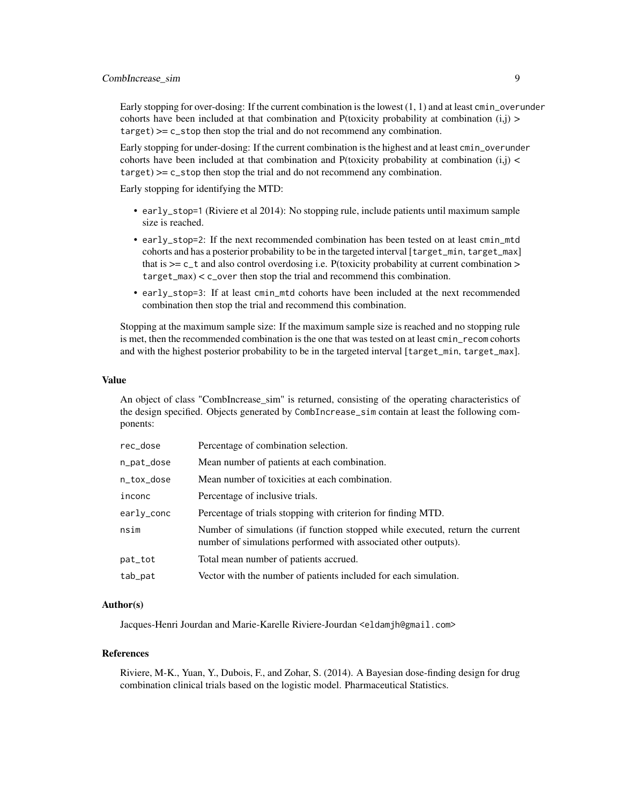Early stopping for over-dosing: If the current combination is the lowest  $(1, 1)$  and at least  $\text{cmin\_overunder}$ cohorts have been included at that combination and P(toxicity probability at combination  $(i,j)$ )  $target)$   $>=$   $c$ <sub>-</sub> $stop$  then stop the trial and do not recommend any combination.

Early stopping for under-dosing: If the current combination is the highest and at least cmin\_overunder cohorts have been included at that combination and P(toxicity probability at combination  $(i,j)$ target) >= c\_stop then stop the trial and do not recommend any combination.

Early stopping for identifying the MTD:

- early\_stop=1 (Riviere et al 2014): No stopping rule, include patients until maximum sample size is reached.
- early\_stop=2: If the next recommended combination has been tested on at least cmin\_mtd cohorts and has a posterior probability to be in the targeted interval [target\_min, target\_max] that is  $>= c_t$  and also control overdosing i.e. P(toxicity probability at current combination  $>$ target\_max) < c\_over then stop the trial and recommend this combination.
- early\_stop=3: If at least cmin\_mtd cohorts have been included at the next recommended combination then stop the trial and recommend this combination.

Stopping at the maximum sample size: If the maximum sample size is reached and no stopping rule is met, then the recommended combination is the one that was tested on at least cmin\_recom cohorts and with the highest posterior probability to be in the targeted interval [target\_min, target\_max].

#### Value

An object of class "CombIncrease sim" is returned, consisting of the operating characteristics of the design specified. Objects generated by CombIncrease\_sim contain at least the following components:

| rec_dose   | Percentage of combination selection.                                                                                                             |
|------------|--------------------------------------------------------------------------------------------------------------------------------------------------|
| n_pat_dose | Mean number of patients at each combination.                                                                                                     |
| n_tox_dose | Mean number of toxicities at each combination.                                                                                                   |
| inconc     | Percentage of inclusive trials.                                                                                                                  |
| earlv_conc | Percentage of trials stopping with criterion for finding MTD.                                                                                    |
| nsim       | Number of simulations (if function stopped while executed, return the current<br>number of simulations performed with associated other outputs). |
| pat_tot    | Total mean number of patients accrued.                                                                                                           |
| tab_pat    | Vector with the number of patients included for each simulation.                                                                                 |

#### Author(s)

Jacques-Henri Jourdan and Marie-Karelle Riviere-Jourdan <eldamjh@gmail.com>

#### References

Riviere, M-K., Yuan, Y., Dubois, F., and Zohar, S. (2014). A Bayesian dose-finding design for drug combination clinical trials based on the logistic model. Pharmaceutical Statistics.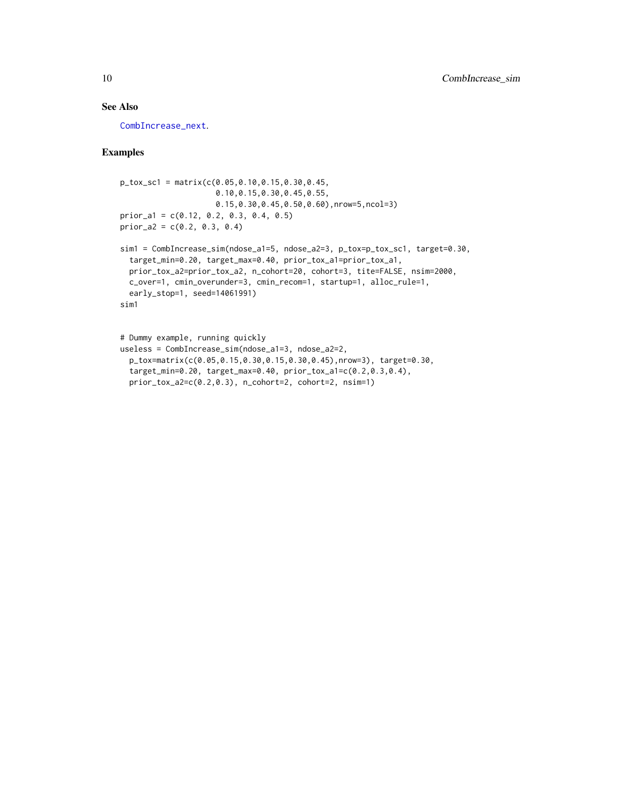#### <span id="page-9-0"></span>See Also

[CombIncrease\\_next](#page-2-1).

#### Examples

```
p_{\text{tox}}sc1 = matrix(c(0.05,0.10,0.15,0.30,0.45,
                     0.10,0.15,0.30,0.45,0.55,
                     0.15,0.30,0.45,0.50,0.60),nrow=5,ncol=3)
prior_a1 = c(0.12, 0.2, 0.3, 0.4, 0.5)
prior_a2 = c(0.2, 0.3, 0.4)sim1 = CombIncrease_sim(ndose_a1=5, ndose_a2=3, p_tox=p_tox_sc1, target=0.30,
 target_min=0.20, target_max=0.40, prior_tox_a1=prior_tox_a1,
  prior_tox_a2=prior_tox_a2, n_cohort=20, cohort=3, tite=FALSE, nsim=2000,
 c_over=1, cmin_overunder=3, cmin_recom=1, startup=1, alloc_rule=1,
```

```
early_stop=1, seed=14061991)
```

```
sim1
```

```
# Dummy example, running quickly
useless = CombIncrease_sim(ndose_a1=3, ndose_a2=2,
  p_tox=matrix(c(0.05,0.15,0.30,0.15,0.30,0.45),nrow=3), target=0.30,
  target_min=0.20, target_max=0.40, prior_tox_a1=c(0.2,0.3,0.4),
  prior_tox_a2=c(0.2,0.3), n_cohort=2, cohort=2, nsim=1)
```